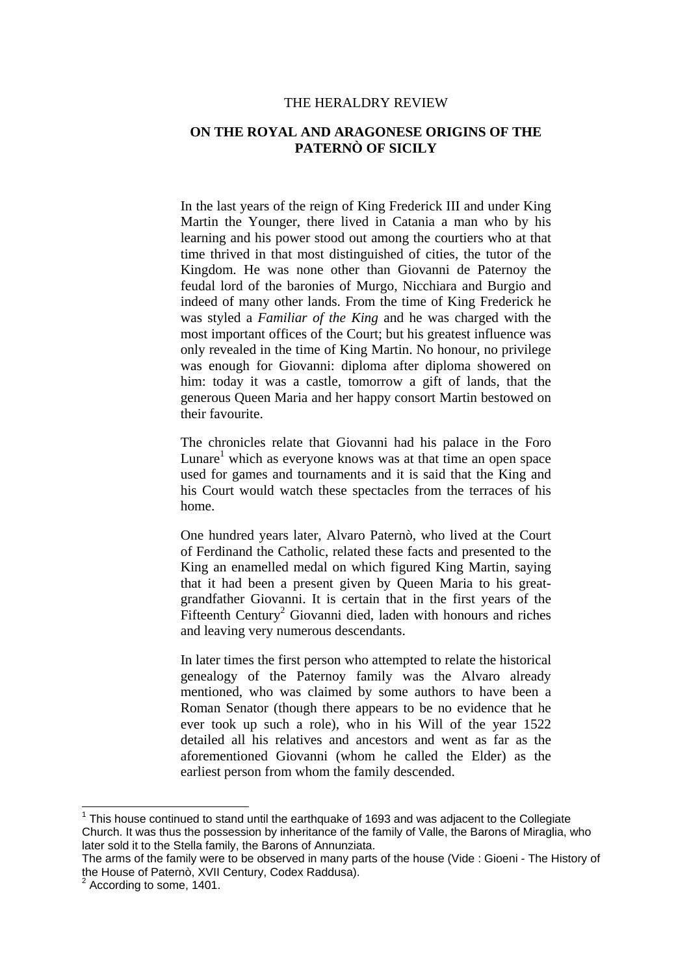## THE HERALDRY REVIEW

## **ON THE ROYAL AND ARAGONESE ORIGINS OF THE PATERNÒ OF SICILY**

In the last years of the reign of King Frederick III and under King Martin the Younger, there lived in Catania a man who by his learning and his power stood out among the courtiers who at that time thrived in that most distinguished of cities, the tutor of the Kingdom. He was none other than Giovanni de Paternoy the feudal lord of the baronies of Murgo, Nicchiara and Burgio and indeed of many other lands. From the time of King Frederick he was styled a *Familiar of the King* and he was charged with the most important offices of the Court; but his greatest influence was only revealed in the time of King Martin. No honour, no privilege was enough for Giovanni: diploma after diploma showered on him: today it was a castle, tomorrow a gift of lands, that the generous Queen Maria and her happy consort Martin bestowed on their favourite.

The chronicles relate that Giovanni had his palace in the Foro Lunare<sup>1</sup> which as everyone knows was at that time an open space used for games and tournaments and it is said that the King and his Court would watch these spectacles from the terraces of his home.

One hundred years later, Alvaro Paternò, who lived at the Court of Ferdinand the Catholic, related these facts and presented to the King an enamelled medal on which figured King Martin, saying that it had been a present given by Queen Maria to his greatgrandfather Giovanni. It is certain that in the first years of the Fifteenth Century<sup>2</sup> Giovanni died, laden with honours and riches and leaving very numerous descendants.

In later times the first person who attempted to relate the historical genealogy of the Paternoy family was the Alvaro already mentioned, who was claimed by some authors to have been a Roman Senator (though there appears to be no evidence that he ever took up such a role), who in his Will of the year 1522 detailed all his relatives and ancestors and went as far as the aforementioned Giovanni (whom he called the Elder) as the earliest person from whom the family descended.

-

 $1$  This house continued to stand until the earthquake of 1693 and was adjacent to the Collegiate Church. It was thus the possession by inheritance of the family of Valle, the Barons of Miraglia, who later sold it to the Stella family, the Barons of Annunziata.

The arms of the family were to be observed in many parts of the house (Vide : Gioeni - The History of the House of Paternò, XVII Century, Codex Raddusa).

 $2$  According to some, 1401.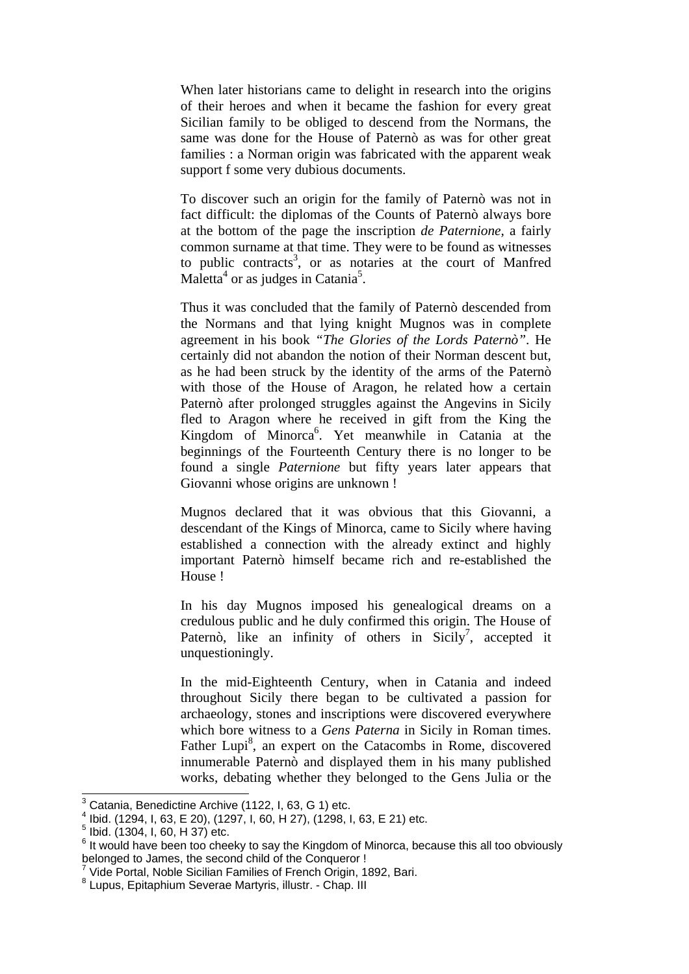When later historians came to delight in research into the origins of their heroes and when it became the fashion for every great Sicilian family to be obliged to descend from the Normans, the same was done for the House of Paternò as was for other great families : a Norman origin was fabricated with the apparent weak support f some very dubious documents.

To discover such an origin for the family of Paternò was not in fact difficult: the diplomas of the Counts of Paternò always bore at the bottom of the page the inscription *de Paternione,* a fairly common surname at that time. They were to be found as witnesses to public contracts<sup>3</sup>, or as notaries at the court of Manfred Maletta<sup>4</sup> or as judges in Catania<sup>5</sup>.

Thus it was concluded that the family of Paternò descended from the Normans and that lying knight Mugnos was in complete agreement in his book *"The Glories of the Lords Paternò"*. He certainly did not abandon the notion of their Norman descent but, as he had been struck by the identity of the arms of the Paternò with those of the House of Aragon, he related how a certain Paternò after prolonged struggles against the Angevins in Sicily fled to Aragon where he received in gift from the King the Kingdom of Minorca<sup>6</sup>. Yet meanwhile in Catania at the beginnings of the Fourteenth Century there is no longer to be found a single *Paternione* but fifty years later appears that Giovanni whose origins are unknown !

Mugnos declared that it was obvious that this Giovanni, a descendant of the Kings of Minorca, came to Sicily where having established a connection with the already extinct and highly important Paternò himself became rich and re-established the House !

In his day Mugnos imposed his genealogical dreams on a credulous public and he duly confirmed this origin. The House of Paternò, like an infinity of others in Sicily<sup>7</sup>, accepted it unquestioningly.

In the mid-Eighteenth Century, when in Catania and indeed throughout Sicily there began to be cultivated a passion for archaeology, stones and inscriptions were discovered everywhere which bore witness to a *Gens Paterna* in Sicily in Roman times. Father Lupi<sup>8</sup>, an expert on the Catacombs in Rome, discovered innumerable Paternò and displayed them in his many published works, debating whether they belonged to the Gens Julia or the

 $3$  Catania, Benedictine Archive (1122, I, 63, G 1) etc.

<sup>4</sup> Ibid. (1294, I, 63, E 20), (1297, I, 60, H 27), (1298, I, 63, E 21) etc.

<sup>5</sup> Ibid. (1304, I, 60, H 37) etc.

 $6$  It would have been too cheeky to say the Kingdom of Minorca, because this all too obviously belonged to James, the second child of the Conqueror !

<sup>7</sup> Vide Portal, Noble Sicilian Families of French Origin, 1892, Bari.

<sup>8</sup> Lupus, Epitaphium Severae Martyris, illustr. - Chap. III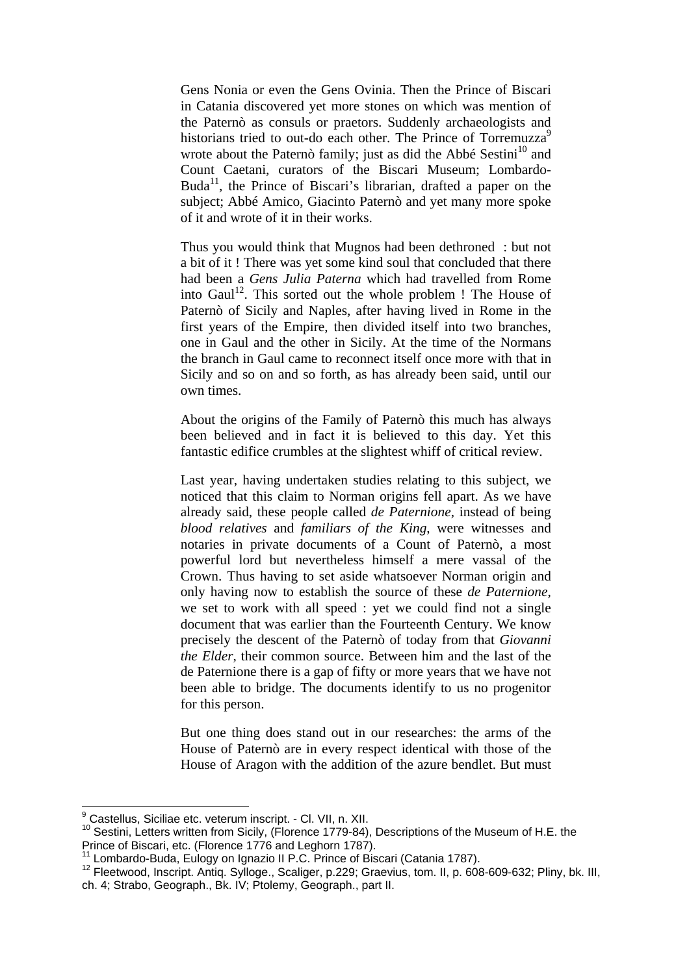Gens Nonia or even the Gens Ovinia. Then the Prince of Biscari in Catania discovered yet more stones on which was mention of the Paternò as consuls or praetors. Suddenly archaeologists and historians tried to out-do each other. The Prince of Torremuzza<sup>9</sup> wrote about the Paternò family; just as did the Abbé Sestini<sup>10</sup> and Count Caetani, curators of the Biscari Museum; Lombardo-Buda<sup>11</sup>, the Prince of Biscari's librarian, drafted a paper on the subject; Abbé Amico, Giacinto Paternò and yet many more spoke of it and wrote of it in their works.

Thus you would think that Mugnos had been dethroned : but not a bit of it ! There was yet some kind soul that concluded that there had been a *Gens Julia Paterna* which had travelled from Rome into Gaul<sup>12</sup>. This sorted out the whole problem ! The House of Paternò of Sicily and Naples, after having lived in Rome in the first years of the Empire, then divided itself into two branches, one in Gaul and the other in Sicily. At the time of the Normans the branch in Gaul came to reconnect itself once more with that in Sicily and so on and so forth, as has already been said, until our own times.

About the origins of the Family of Paternò this much has always been believed and in fact it is believed to this day. Yet this fantastic edifice crumbles at the slightest whiff of critical review.

Last year, having undertaken studies relating to this subject, we noticed that this claim to Norman origins fell apart. As we have already said, these people called *de Paternione*, instead of being *blood relatives* and *familiars of the King*, were witnesses and notaries in private documents of a Count of Paternò, a most powerful lord but nevertheless himself a mere vassal of the Crown. Thus having to set aside whatsoever Norman origin and only having now to establish the source of these *de Paternione*, we set to work with all speed : yet we could find not a single document that was earlier than the Fourteenth Century. We know precisely the descent of the Paternò of today from that *Giovanni the Elder*, their common source. Between him and the last of the de Paternione there is a gap of fifty or more years that we have not been able to bridge. The documents identify to us no progenitor for this person.

But one thing does stand out in our researches: the arms of the House of Paternò are in every respect identical with those of the House of Aragon with the addition of the azure bendlet. But must

 9 Castellus, Siciliae etc. veterum inscript. - Cl. VII, n. XII.

<sup>10</sup> Sestini, Letters written from Sicily, (Florence 1779-84), Descriptions of the Museum of H.E. the Prince of Biscari, etc. (Florence 1776 and Leghorn 1787).<br><sup>11</sup> Lombardo-Buda, Eulogy on Ignazio II P.C. Prince of Biscari (Catania 1787).

<sup>11</sup> Lombardo-Buda, Eulogy on Ignazio II P.C. Prince of Biscari (Catania 1787). 12 Fleetwood, Inscript. Antiq. Sylloge., Scaliger, p.229; Graevius, tom. II, p. 608-609-632; Pliny, bk. III, ch. 4; Strabo, Geograph., Bk. IV; Ptolemy, Geograph., part II.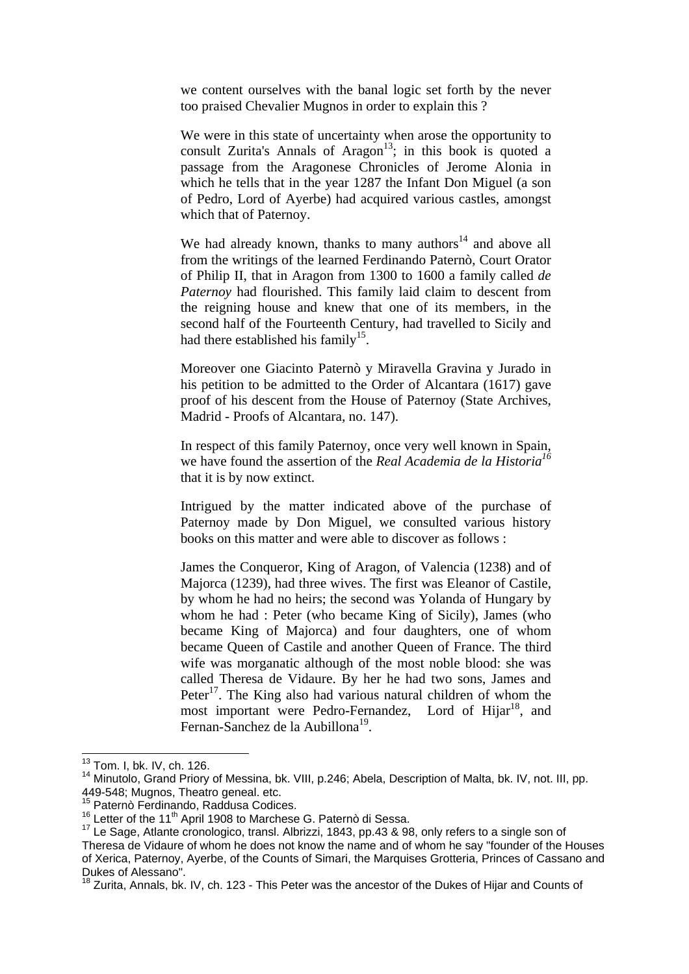we content ourselves with the banal logic set forth by the never too praised Chevalier Mugnos in order to explain this ?

We were in this state of uncertainty when arose the opportunity to consult Zurita's Annals of Aragon<sup>13</sup>; in this book is quoted a passage from the Aragonese Chronicles of Jerome Alonia in which he tells that in the year 1287 the Infant Don Miguel (a son of Pedro, Lord of Ayerbe) had acquired various castles, amongst which that of Paternoy.

We had already known, thanks to many authors<sup>14</sup> and above all from the writings of the learned Ferdinando Paternò, Court Orator of Philip II, that in Aragon from 1300 to 1600 a family called *de Paternoy* had flourished. This family laid claim to descent from the reigning house and knew that one of its members, in the second half of the Fourteenth Century, had travelled to Sicily and had there established his family<sup>15</sup>.

Moreover one Giacinto Paternò y Miravella Gravina y Jurado in his petition to be admitted to the Order of Alcantara (1617) gave proof of his descent from the House of Paternoy (State Archives, Madrid - Proofs of Alcantara, no. 147).

In respect of this family Paternoy, once very well known in Spain, we have found the assertion of the *Real Academia de la Historia16* that it is by now extinct.

Intrigued by the matter indicated above of the purchase of Paternoy made by Don Miguel, we consulted various history books on this matter and were able to discover as follows :

James the Conqueror, King of Aragon, of Valencia (1238) and of Majorca (1239), had three wives. The first was Eleanor of Castile, by whom he had no heirs; the second was Yolanda of Hungary by whom he had : Peter (who became King of Sicily), James (who became King of Majorca) and four daughters, one of whom became Queen of Castile and another Queen of France. The third wife was morganatic although of the most noble blood: she was called Theresa de Vidaure. By her he had two sons, James and Peter $^{17}$ . The King also had various natural children of whom the most important were Pedro-Fernandez, Lord of Hijar<sup>18</sup>, and Fernan-Sanchez de la Aubillona<sup>19</sup>.

 $\overline{\phantom{a}}$ 

<sup>&</sup>lt;sup>13</sup> Tom. I, bk. IV, ch. 126.

<sup>&</sup>lt;sup>14</sup> Minutolo, Grand Priory of Messina, bk. VIII, p.246; Abela, Description of Malta, bk. IV, not. III, pp. 449-548; Mugnos, Theatro geneal. etc.

<sup>&</sup>lt;sup>15</sup> Paternò Ferdinando, Raddusa Codices.<br><sup>16</sup> Paternò Ferdinando, Raddusa Codices.<br><sup>15</sup> Letter of the 11<sup>th</sup> April 1908 to Marchese G. Paternò di Sessa.

<sup>17</sup> Le Sage, Atlante cronologico, transl. Albrizzi, 1843, pp.43 & 98, only refers to a single son of Theresa de Vidaure of whom he does not know the name and of whom he say "founder of the Houses of Xerica, Paternoy, Ayerbe, of the Counts of Simari, the Marquises Grotteria, Princes of Cassano and Dukes of Alessano".

 $18$  Zurita, Annals, bk. IV, ch. 123 - This Peter was the ancestor of the Dukes of Hijar and Counts of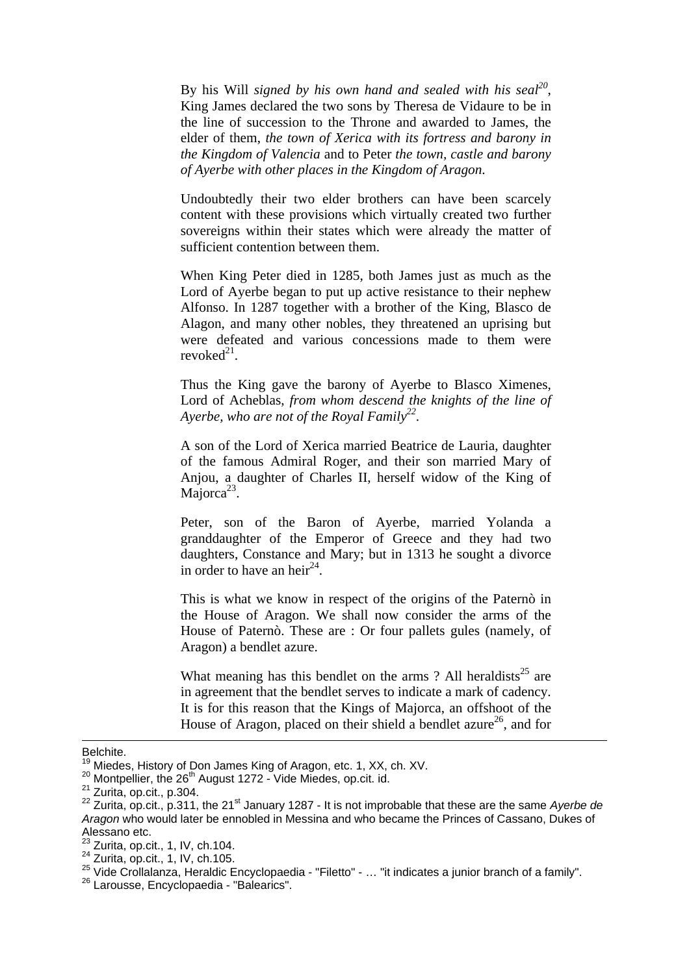By his Will *signed by his own hand and sealed with his seal*<sup>20</sup>, King James declared the two sons by Theresa de Vidaure to be in the line of succession to the Throne and awarded to James, the elder of them, *the town of Xerica with its fortress and barony in the Kingdom of Valencia* and to Peter *the town, castle and barony of Ayerbe with other places in the Kingdom of Aragon*.

Undoubtedly their two elder brothers can have been scarcely content with these provisions which virtually created two further sovereigns within their states which were already the matter of sufficient contention between them.

When King Peter died in 1285, both James just as much as the Lord of Ayerbe began to put up active resistance to their nephew Alfonso. In 1287 together with a brother of the King, Blasco de Alagon, and many other nobles, they threatened an uprising but were defeated and various concessions made to them were revoked $^{21}$ .

Thus the King gave the barony of Ayerbe to Blasco Ximenes, Lord of Acheblas, *from whom descend the knights of the line of*  Ayerbe, who are not of the Royal Family<sup>22</sup>.

A son of the Lord of Xerica married Beatrice de Lauria, daughter of the famous Admiral Roger, and their son married Mary of Anjou, a daughter of Charles II, herself widow of the King of Majorca<sup>23</sup>.

Peter, son of the Baron of Ayerbe, married Yolanda a granddaughter of the Emperor of Greece and they had two daughters, Constance and Mary; but in 1313 he sought a divorce in order to have an heir<sup>24</sup>.

This is what we know in respect of the origins of the Paternò in the House of Aragon. We shall now consider the arms of the House of Paternò. These are : Or four pallets gules (namely, of Aragon) a bendlet azure.

What meaning has this bendlet on the arms  $?$  All heraldists<sup>25</sup> are in agreement that the bendlet serves to indicate a mark of cadency. It is for this reason that the Kings of Majorca, an offshoot of the House of Aragon, placed on their shield a bendlet azure<sup>26</sup>, and for

-

Belchite.<br><sup>19</sup> Miedes, History of Don James King of Aragon, etc. 1, XX, ch. XV.

<sup>&</sup>lt;sup>20</sup> Montpellier, the 26<sup>th</sup> August 1272 - Vide Miedes, op.cit. id.<br>
<sup>21</sup> Zurita, op.cit., p.304.<br>
<sup>22</sup> Zurita, op.cit., p.311, the 21<sup>st</sup> January 1287 - It is not improbable that these are the same Ayerbe de *Aragon* who would later be ennobled in Messina and who became the Princes of Cassano, Dukes of Alessano etc.<br><sup>23</sup> Zurita, op.cit., 1, IV, ch.104.

<sup>24</sup> Zurita, op.cit., 1, IV, ch.105.<br>
<sup>25</sup> Zurita, op.cit., 1, IV, ch.105.<br>
<sup>25</sup> Vide Crollalanza, Heraldic Encyclopaedia - "Filetto" - … "it indicates a junior branch of a family".<br>
<sup>26</sup> Larousse, Encyclopaedia - "Balearic